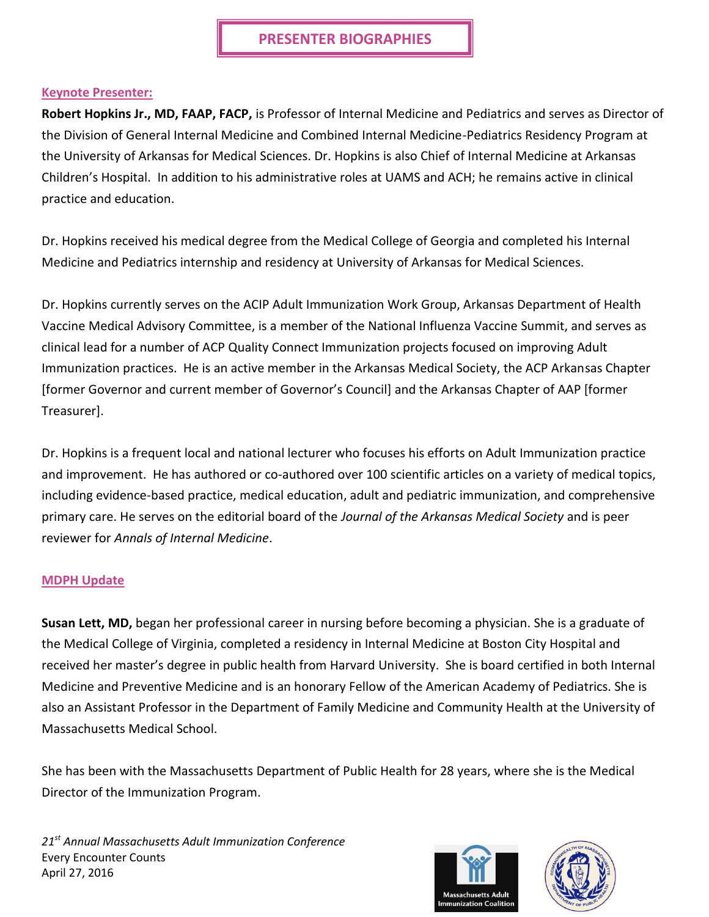### **Keynote Presenter:**

**Robert Hopkins Jr., MD, FAAP, FACP,** is Professor of Internal Medicine and Pediatrics and serves as Director of the Division of General Internal Medicine and Combined Internal Medicine-Pediatrics Residency Program at the University of Arkansas for Medical Sciences. Dr. Hopkins is also Chief of Internal Medicine at Arkansas Children's Hospital. In addition to his administrative roles at UAMS and ACH; he remains active in clinical practice and education.

Dr. Hopkins received his medical degree from the Medical College of Georgia and completed his Internal Medicine and Pediatrics internship and residency at University of Arkansas for Medical Sciences.

Dr. Hopkins currently serves on the ACIP Adult Immunization Work Group, Arkansas Department of Health Vaccine Medical Advisory Committee, is a member of the National Influenza Vaccine Summit, and serves as clinical lead for a number of ACP Quality Connect Immunization projects focused on improving Adult Immunization practices. He is an active member in the Arkansas Medical Society, the ACP Arkansas Chapter [former Governor and current member of Governor's Council] and the Arkansas Chapter of AAP [former Treasurer].

Dr. Hopkins is a frequent local and national lecturer who focuses his efforts on Adult Immunization practice and improvement. He has authored or co-authored over 100 scientific articles on a variety of medical topics, including evidence-based practice, medical education, adult and pediatric immunization, and comprehensive primary care. He serves on the editorial board of the *Journal of the Arkansas Medical Society* and is peer reviewer for *Annals of Internal Medicine*.

### **MDPH Update**

**Susan Lett, MD,** began her professional career in nursing before becoming a physician. She is a graduate of the Medical College of Virginia, completed a residency in Internal Medicine at Boston City Hospital and received her master's degree in public health from Harvard University. She is board certified in both Internal Medicine and Preventive Medicine and is an honorary Fellow of the American Academy of Pediatrics. She is also an Assistant Professor in the Department of Family Medicine and Community Health at the University of Massachusetts Medical School.

She has been with the Massachusetts Department of Public Health for 28 years, where she is the Medical Director of the Immunization Program.



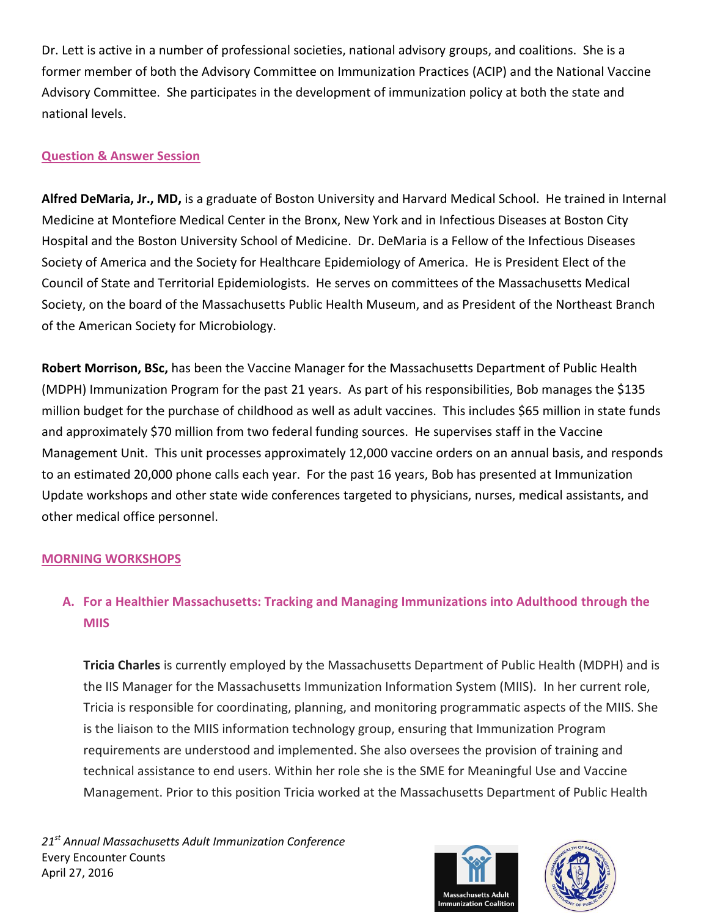Dr. Lett is active in a number of professional societies, national advisory groups, and coalitions. She is a former member of both the Advisory Committee on Immunization Practices (ACIP) and the National Vaccine Advisory Committee. She participates in the development of immunization policy at both the state and national levels.

## **Question & Answer Session**

**Alfred DeMaria, Jr., MD,** is a graduate of Boston University and Harvard Medical School. He trained in Internal Medicine at Montefiore Medical Center in the Bronx, New York and in Infectious Diseases at Boston City Hospital and the Boston University School of Medicine. Dr. DeMaria is a Fellow of the Infectious Diseases Society of America and the Society for Healthcare Epidemiology of America. He is President Elect of the Council of State and Territorial Epidemiologists. He serves on committees of the Massachusetts Medical Society, on the board of the Massachusetts Public Health Museum, and as President of the Northeast Branch of the American Society for Microbiology.

**Robert Morrison, BSc,** has been the Vaccine Manager for the Massachusetts Department of Public Health (MDPH) Immunization Program for the past 21 years. As part of his responsibilities, Bob manages the \$135 million budget for the purchase of childhood as well as adult vaccines. This includes \$65 million in state funds and approximately \$70 million from two federal funding sources. He supervises staff in the Vaccine Management Unit. This unit processes approximately 12,000 vaccine orders on an annual basis, and responds to an estimated 20,000 phone calls each year. For the past 16 years, Bob has presented at Immunization Update workshops and other state wide conferences targeted to physicians, nurses, medical assistants, and other medical office personnel.

## **MORNING WORKSHOPS**

# **A. For a Healthier Massachusetts: Tracking and Managing Immunizations into Adulthood through the MIIS**

**Tricia Charles** is currently employed by the Massachusetts Department of Public Health (MDPH) and is the IIS Manager for the Massachusetts Immunization Information System (MIIS). In her current role, Tricia is responsible for coordinating, planning, and monitoring programmatic aspects of the MIIS. She is the liaison to the MIIS information technology group, ensuring that Immunization Program requirements are understood and implemented. She also oversees the provision of training and technical assistance to end users. Within her role she is the SME for Meaningful Use and Vaccine Management. Prior to this position Tricia worked at the Massachusetts Department of Public Health



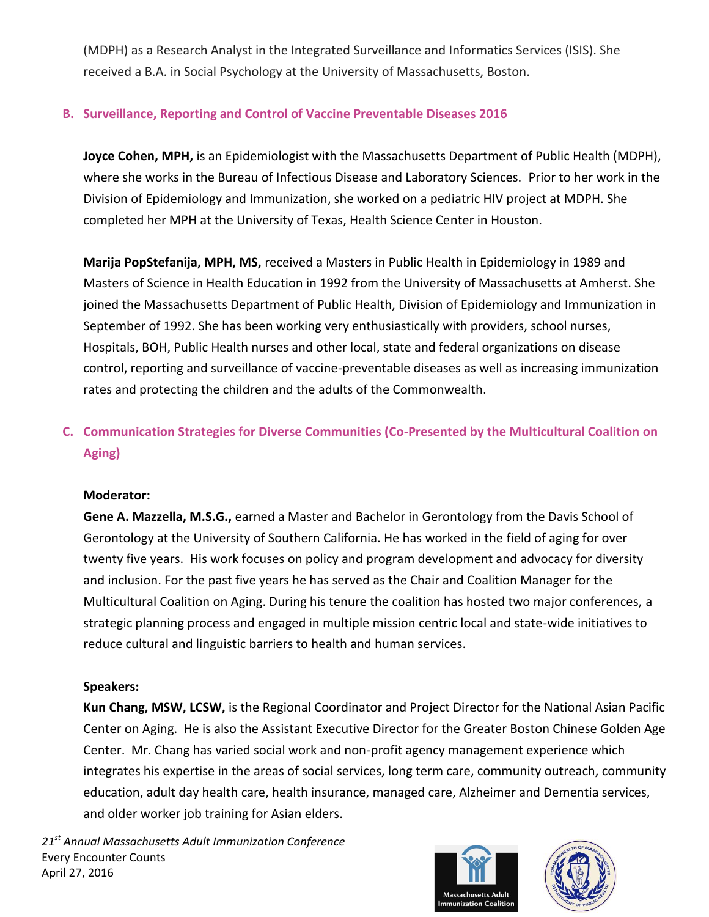(MDPH) as a Research Analyst in the Integrated Surveillance and Informatics Services (ISIS). She received a B.A. in Social Psychology at the University of Massachusetts, Boston.

## **B. Surveillance, Reporting and Control of Vaccine Preventable Diseases 2016**

**Joyce Cohen, MPH,** is an Epidemiologist with the Massachusetts Department of Public Health (MDPH), where she works in the Bureau of Infectious Disease and Laboratory Sciences. Prior to her work in the Division of Epidemiology and Immunization, she worked on a pediatric HIV project at MDPH. She completed her MPH at the University of Texas, Health Science Center in Houston.

**Marija PopStefanija, MPH, MS,** received a Masters in Public Health in Epidemiology in 1989 and Masters of Science in Health Education in 1992 from the University of Massachusetts at Amherst. She joined the Massachusetts Department of Public Health, Division of Epidemiology and Immunization in September of 1992. She has been working very enthusiastically with providers, school nurses, Hospitals, BOH, Public Health nurses and other local, state and federal organizations on disease control, reporting and surveillance of vaccine-preventable diseases as well as increasing immunization rates and protecting the children and the adults of the Commonwealth.

# **C. Communication Strategies for Diverse Communities (Co-Presented by the Multicultural Coalition on Aging)**

### **Moderator:**

**Gene A. Mazzella, M.S.G.,** earned a Master and Bachelor in Gerontology from the Davis School of Gerontology at the University of Southern California. He has worked in the field of aging for over twenty five years. His work focuses on policy and program development and advocacy for diversity and inclusion. For the past five years he has served as the Chair and Coalition Manager for the Multicultural Coalition on Aging. During his tenure the coalition has hosted two major conferences, a strategic planning process and engaged in multiple mission centric local and state-wide initiatives to reduce cultural and linguistic barriers to health and human services.

## **Speakers:**

**Kun Chang, MSW, LCSW,** is the Regional Coordinator and Project Director for the National Asian Pacific Center on Aging. He is also the Assistant Executive Director for the Greater Boston Chinese Golden Age Center. Mr. Chang has varied social work and non-profit agency management experience which integrates his expertise in the areas of social services, long term care, community outreach, community education, adult day health care, health insurance, managed care, Alzheimer and Dementia services, and older worker job training for Asian elders.



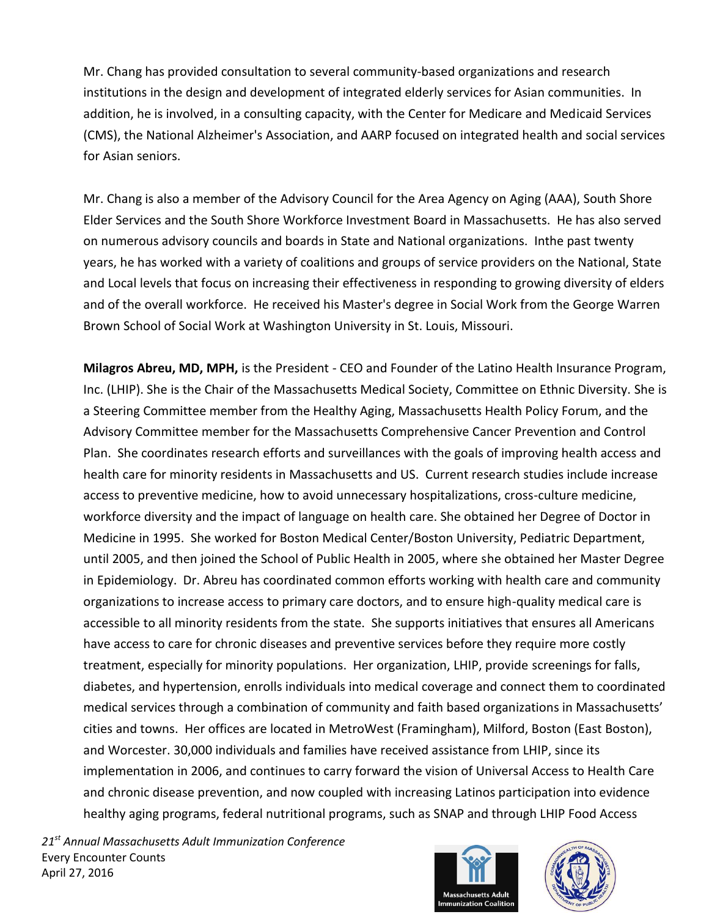Mr. Chang has provided consultation to several community-based organizations and research institutions in the design and development of integrated elderly services for Asian communities. In addition, he is involved, in a consulting capacity, with the Center for Medicare and Medicaid Services (CMS), the National Alzheimer's Association, and AARP focused on integrated health and social services for Asian seniors.

Mr. Chang is also a member of the Advisory Council for the Area Agency on Aging (AAA), South Shore Elder Services and the South Shore Workforce Investment Board in Massachusetts. He has also served on numerous advisory councils and boards in State and National organizations. Inthe past twenty years, he has worked with a variety of coalitions and groups of service providers on the National, State and Local levels that focus on increasing their effectiveness in responding to growing diversity of elders and of the overall workforce. He received his Master's degree in Social Work from the George Warren Brown School of Social Work at Washington University in St. Louis, Missouri.

**Milagros Abreu, MD, MPH,** is the President - CEO and Founder of the Latino Health Insurance Program, Inc. (LHIP). She is the Chair of the Massachusetts Medical Society, Committee on Ethnic Diversity. She is a Steering Committee member from the Healthy Aging, Massachusetts Health Policy Forum, and the Advisory Committee member for the Massachusetts Comprehensive Cancer Prevention and Control Plan. She coordinates research efforts and surveillances with the goals of improving health access and health care for minority residents in Massachusetts and US. Current research studies include increase access to preventive medicine, how to avoid unnecessary hospitalizations, cross-culture medicine, workforce diversity and the impact of language on health care. She obtained her Degree of Doctor in Medicine in 1995. She worked for Boston Medical Center/Boston University, Pediatric Department, until 2005, and then joined the School of Public Health in 2005, where she obtained her Master Degree in Epidemiology. Dr. Abreu has coordinated common efforts working with health care and community organizations to increase access to primary care doctors, and to ensure high-quality medical care is accessible to all minority residents from the state. She supports initiatives that ensures all Americans have access to care for chronic diseases and preventive services before they require more costly treatment, especially for minority populations. Her organization, LHIP, provide screenings for falls, diabetes, and hypertension, enrolls individuals into medical coverage and connect them to coordinated medical services through a combination of community and faith based organizations in Massachusetts' cities and towns. Her offices are located in MetroWest (Framingham), Milford, Boston (East Boston), and Worcester. 30,000 individuals and families have received assistance from LHIP, since its implementation in 2006, and continues to carry forward the vision of Universal Access to Health Care and chronic disease prevention, and now coupled with increasing Latinos participation into evidence healthy aging programs, federal nutritional programs, such as SNAP and through LHIP Food Access



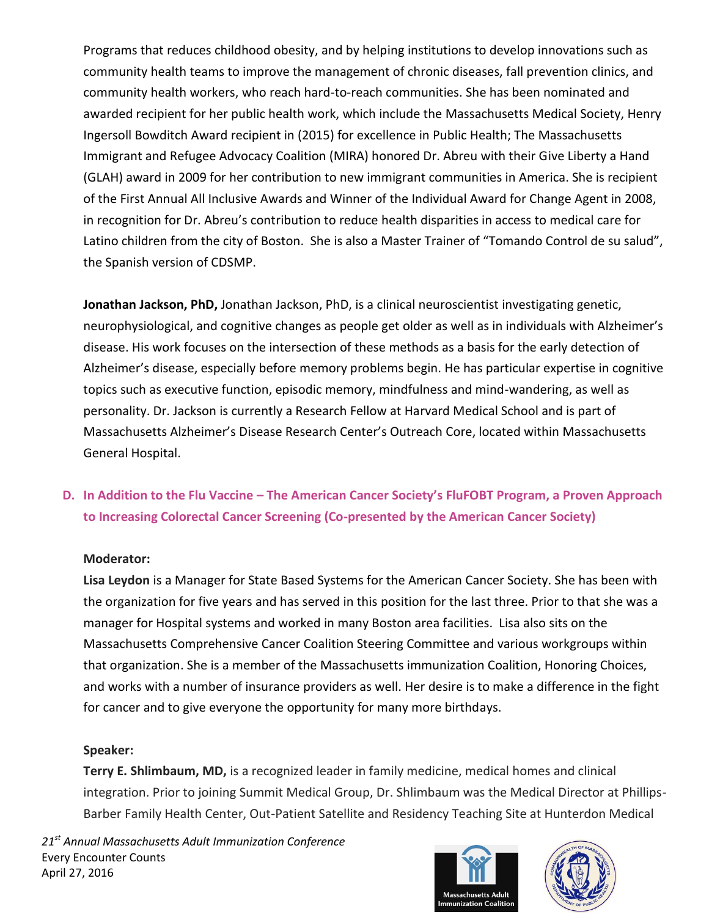Programs that reduces childhood obesity, and by helping institutions to develop innovations such as community health teams to improve the management of chronic diseases, fall prevention clinics, and community health workers, who reach hard-to-reach communities. She has been nominated and awarded recipient for her public health work, which include the Massachusetts Medical Society, Henry Ingersoll Bowditch Award recipient in (2015) for excellence in Public Health; The Massachusetts Immigrant and Refugee Advocacy Coalition (MIRA) honored Dr. Abreu with their Give Liberty a Hand (GLAH) award in 2009 for her contribution to new immigrant communities in America. She is recipient of the First Annual All Inclusive Awards and Winner of the Individual Award for Change Agent in 2008, in recognition for Dr. Abreu's contribution to reduce health disparities in access to medical care for Latino children from the city of Boston. She is also a Master Trainer of "Tomando Control de su salud", the Spanish version of CDSMP.

**Jonathan Jackson, PhD,** Jonathan Jackson, PhD, is a clinical neuroscientist investigating genetic, neurophysiological, and cognitive changes as people get older as well as in individuals with Alzheimer's disease. His work focuses on the intersection of these methods as a basis for the early detection of Alzheimer's disease, especially before memory problems begin. He has particular expertise in cognitive topics such as executive function, episodic memory, mindfulness and mind-wandering, as well as personality. Dr. Jackson is currently a Research Fellow at Harvard Medical School and is part of Massachusetts Alzheimer's Disease Research Center's Outreach Core, located within Massachusetts General Hospital.

# **D. In Addition to the Flu Vaccine – The American Cancer Society's FluFOBT Program, a Proven Approach to Increasing Colorectal Cancer Screening (Co-presented by the American Cancer Society)**

### **Moderator:**

**Lisa Leydon** is a Manager for State Based Systems for the American Cancer Society. She has been with the organization for five years and has served in this position for the last three. Prior to that she was a manager for Hospital systems and worked in many Boston area facilities. Lisa also sits on the Massachusetts Comprehensive Cancer Coalition Steering Committee and various workgroups within that organization. She is a member of the Massachusetts immunization Coalition, Honoring Choices, and works with a number of insurance providers as well. Her desire is to make a difference in the fight for cancer and to give everyone the opportunity for many more birthdays.

### **Speaker:**

**Terry E. Shlimbaum, MD,** is a recognized leader in family medicine, medical homes and clinical integration. Prior to joining Summit Medical Group, Dr. Shlimbaum was the Medical Director at Phillips-Barber Family Health Center, Out-Patient Satellite and Residency Teaching Site at Hunterdon Medical



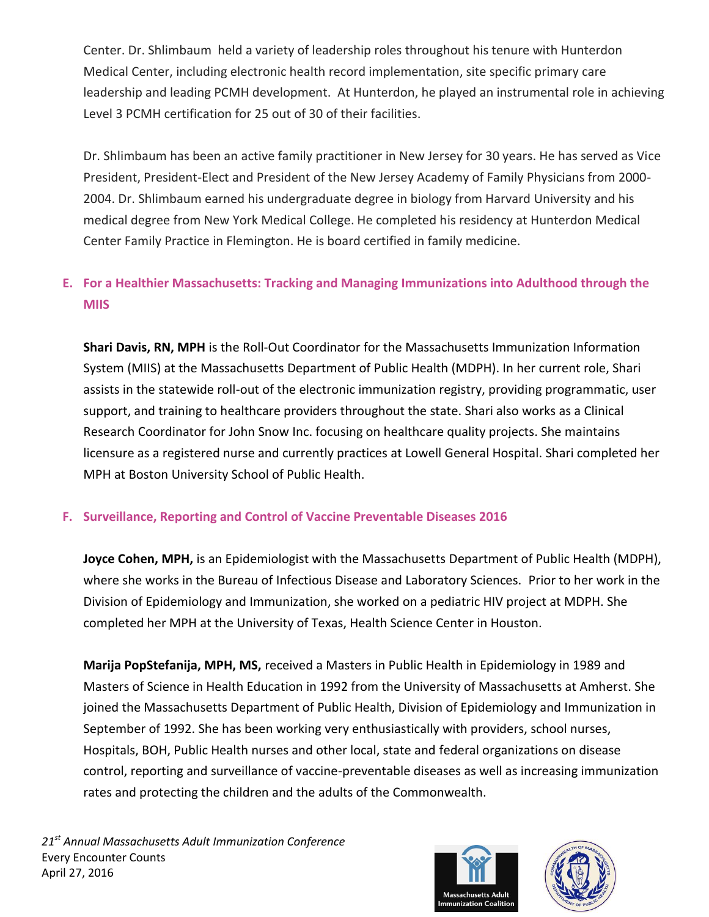Center. Dr. Shlimbaum held a variety of leadership roles throughout his tenure with Hunterdon Medical Center, including electronic health record implementation, site specific primary care leadership and leading PCMH development. At Hunterdon, he played an instrumental role in achieving Level 3 PCMH certification for 25 out of 30 of their facilities.

Dr. Shlimbaum has been an active family practitioner in New Jersey for 30 years. He has served as Vice President, President-Elect and President of the New Jersey Academy of Family Physicians from 2000- 2004. Dr. Shlimbaum earned his undergraduate degree in biology from Harvard University and his medical degree from New York Medical College. He completed his residency at Hunterdon Medical Center Family Practice in Flemington. He is board certified in family medicine.

# **E. For a Healthier Massachusetts: Tracking and Managing Immunizations into Adulthood through the MIIS**

**Shari Davis, RN, MPH** is the Roll-Out Coordinator for the Massachusetts Immunization Information System (MIIS) at the Massachusetts Department of Public Health (MDPH). In her current role, Shari assists in the statewide roll-out of the electronic immunization registry, providing programmatic, user support, and training to healthcare providers throughout the state. Shari also works as a Clinical Research Coordinator for John Snow Inc. focusing on healthcare quality projects. She maintains licensure as a registered nurse and currently practices at Lowell General Hospital. Shari completed her MPH at Boston University School of Public Health.

## **F. Surveillance, Reporting and Control of Vaccine Preventable Diseases 2016**

**Joyce Cohen, MPH,** is an Epidemiologist with the Massachusetts Department of Public Health (MDPH), where she works in the Bureau of Infectious Disease and Laboratory Sciences. Prior to her work in the Division of Epidemiology and Immunization, she worked on a pediatric HIV project at MDPH. She completed her MPH at the University of Texas, Health Science Center in Houston.

**Marija PopStefanija, MPH, MS,** received a Masters in Public Health in Epidemiology in 1989 and Masters of Science in Health Education in 1992 from the University of Massachusetts at Amherst. She joined the Massachusetts Department of Public Health, Division of Epidemiology and Immunization in September of 1992. She has been working very enthusiastically with providers, school nurses, Hospitals, BOH, Public Health nurses and other local, state and federal organizations on disease control, reporting and surveillance of vaccine-preventable diseases as well as increasing immunization rates and protecting the children and the adults of the Commonwealth.